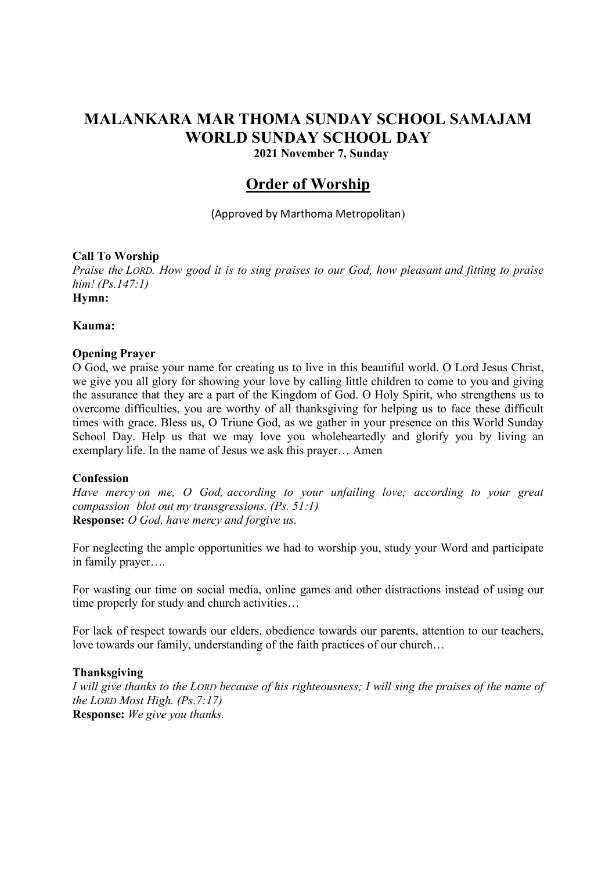# MALANKARA MAR THOMA SUNDAY SCHOOL SAMAJAM WORLD SUNDAY SCHOOL DAY

2021 November 7, Sunday

# Order of Worship

(Approved by Marthoma Metropolitan)

# Call To Worship

Praise the LORD. How good it is to sing praises to our God, how pleasant and fitting to praise him! (Ps.147:1) Hymn:

# Kauma:

# Opening Prayer

O God, we praise your name for creating us to live in this beautiful world. O Lord Jesus Christ, we give you all glory for showing your love by calling little children to come to you and giving the assurance that they are a part of the Kingdom of God. O Holy Spirit, who strengthens us to overcome difficulties, you are worthy of all thanksgiving for helping us to face these difficult times with grace. Bless us, O Triune God, as we gather in your presence on this World Sunday School Day. Help us that we may love you wholeheartedly and glorify you by living an exemplary life. In the name of Jesus we ask this prayer… Amen

#### Confession

Have mercy on me, O God, according to your unfailing love; according to your great compassion blot out my transgressions. (Ps. 51:1) Response: O God, have mercy and forgive us.

For neglecting the ample opportunities we had to worship you, study your Word and participate in family prayer….

For wasting our time on social media, online games and other distractions instead of using our time properly for study and church activities…

For lack of respect towards our elders, obedience towards our parents, attention to our teachers, love towards our family, understanding of the faith practices of our church…

#### Thanksgiving

I will give thanks to the LORD because of his righteousness; I will sing the praises of the name of the LORD Most High. (Ps.7:17) Response: We give you thanks.